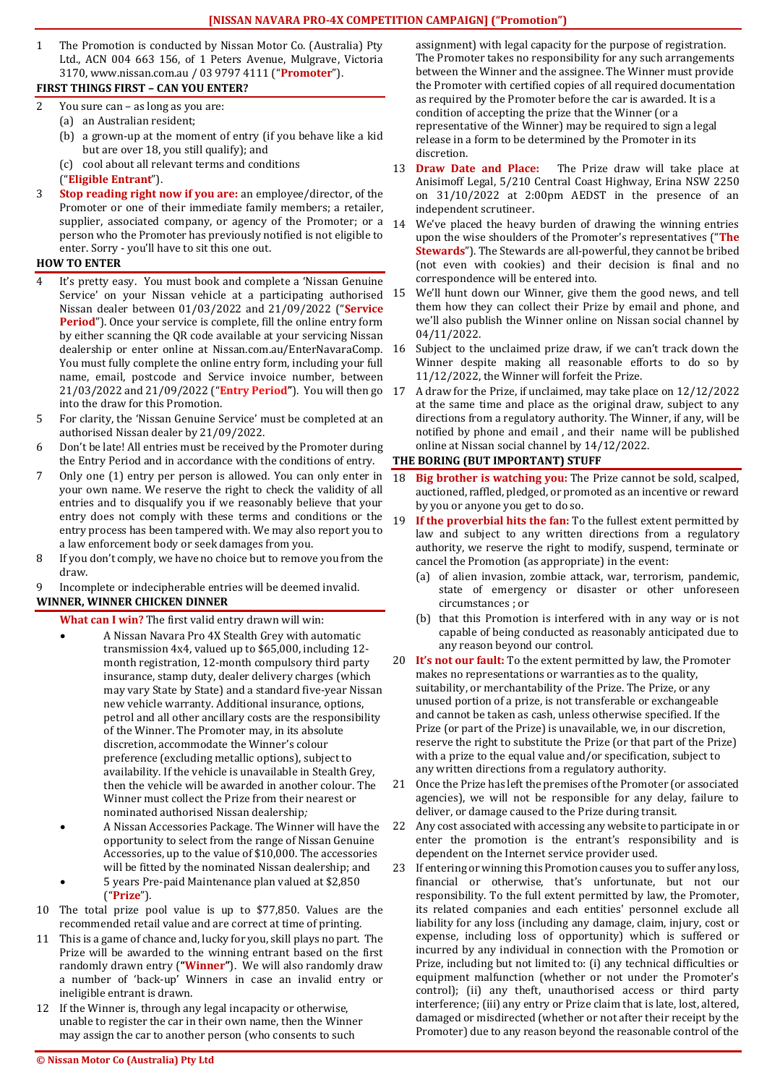## **[NISSAN NAVARA PRO-4X COMPETITION CAMPAIGN] ("Promotion")**

1 The Promotion is conducted by Nissan Motor Co. (Australia) Pty Ltd., ACN 004 663 156, of 1 Peters Avenue, Mulgrave, Victoria 3170, www.nissan.com.au / 03 9797 4111 ("**Promoter**").

## **FIRST THINGS FIRST – CAN YOU ENTER?**

- 2 You sure can as long as you are:
	- (a) an Australian resident;
		- (b) a grown-up at the moment of entry (if you behave like a kid but are over 18, you still qualify); and
		- (c) cool about all relevant terms and conditions
	- ("**Eligible Entrant**").
- 3 **Stop reading right now if you are:** an employee/director, of the Promoter or one of their immediate family members; a retailer, supplier, associated company, or agency of the Promoter; or a  $14$ person who the Promoter has previously notified is not eligible to enter. Sorry - you'll have to sit this one out.

## **HOW TO ENTER**

- It's pretty easy. You must book and complete a 'Nissan Genuine Service' on your Nissan vehicle at a participating authorised 15 Nissan dealer between 01/03/2022 and 21/09/2022 ("**Service Period**"). Once your service is complete, fill the online entry form by either scanning the QR code available at your servicing Nissan dealership or enter online at Nissan.com.au/EnterNavaraComp. 16 You must fully complete the online entry form, including your full name, email, postcode and Service invoice number, between 21/03/2022 and 21/09/2022 ("**Entry Period"**). You will then go into the draw for this Promotion.
- 5 For clarity, the 'Nissan Genuine Service' must be completed at an authorised Nissan dealer by 21/09/2022.
- 6 Don't be late! All entries must be received by the Promoter during the Entry Period and in accordance with the conditions of entry.
- 7 Only one (1) entry per person is allowed. You can only enter in your own name. We reserve the right to check the validity of all entries and to disqualify you if we reasonably believe that your entry does not comply with these terms and conditions or the entry process has been tampered with. We may also report you to a law enforcement body or seek damages from you.
- 8 If you don't comply, we have no choice but to remove you from the draw.
- 9 Incomplete or indecipherable entries will be deemed invalid. **WINNER, WINNER CHICKEN DINNER**
	- **What can I win?** The first valid entry drawn will win:
		- A Nissan Navara Pro 4X Stealth Grey with automatic transmission 4x4, valued up to \$65,000, including 12 month registration, 12-month compulsory third party insurance, stamp duty, dealer delivery charges (which may vary State by State) and a standard five-year Nissan new vehicle warranty. Additional insurance, options, petrol and all other ancillary costs are the responsibility of the Winner. The Promoter may, in its absolute discretion, accommodate the Winner's colour preference (excluding metallic options), subject to availability. If the vehicle is unavailable in Stealth Grey, then the vehicle will be awarded in another colour. The Winner must collect the Prize from their nearest or nominated authorised Nissan dealership*;*
		- A Nissan Accessories Package. The Winner will have the opportunity to select from the range of Nissan Genuine Accessories, up to the value of \$10,000. The accessories will be fitted by the nominated Nissan dealership; and
		- 5 years Pre-paid Maintenance plan valued at \$2,850 ("**Prize**").
- 10 The total prize pool value is up to \$77,850. Values are the recommended retail value and are correct at time of printing.
- 11 This is a game of chance and, lucky for you, skill plays no part. The Prize will be awarded to the winning entrant based on the first randomly drawn entry (**"Winner"**). We will also randomly draw a number of 'back-up' Winners in case an invalid entry or ineligible entrant is drawn.
- 12 If the Winner is, through any legal incapacity or otherwise, unable to register the car in their own name, then the Winner may assign the car to another person (who consents to such

assignment) with legal capacity for the purpose of registration. The Promoter takes no responsibility for any such arrangements between the Winner and the assignee. The Winner must provide the Promoter with certified copies of all required documentation as required by the Promoter before the car is awarded. It is a condition of accepting the prize that the Winner (or a representative of the Winner) may be required to sign a legal release in a form to be determined by the Promoter in its discretion.

- 13 **Draw Date and Place:** The Prize draw will take place at Anisimoff Legal, 5/210 Central Coast Highway, Erina NSW 2250 on 31/10/2022 at 2:00pm AEDST in the presence of an independent scrutineer.
- We've placed the heavy burden of drawing the winning entries upon the wise shoulders of the Promoter's representatives ("**The Stewards**"). The Stewards are all-powerful, they cannot be bribed (not even with cookies) and their decision is final and no correspondence will be entered into.
- We'll hunt down our Winner, give them the good news, and tell them how they can collect their Prize by email and phone, and we'll also publish the Winner online on Nissan social channel by 04/11/2022.
- Subject to the unclaimed prize draw, if we can't track down the Winner despite making all reasonable efforts to do so by 11/12/2022, the Winner will forfeit the Prize.
- 17 A draw for the Prize, if unclaimed, may take place on 12/12/2022 at the same time and place as the original draw, subject to any directions from a regulatory authority. The Winner, if any, will be notified by phone and email , and their name will be published online at Nissan social channel by 14/12/2022.

## **THE BORING (BUT IMPORTANT) STUFF**

- 18 **Big brother is watching you:** The Prize cannot be sold, scalped, auctioned, raffled, pledged, or promoted as an incentive or reward by you or anyone you get to do so.
- 19 **If the proverbial hits the fan:** To the fullest extent permitted by law and subject to any written directions from a regulatory authority, we reserve the right to modify, suspend, terminate or cancel the Promotion (as appropriate) in the event:
	- (a) of alien invasion, zombie attack, war, terrorism, pandemic, state of emergency or disaster or other unforeseen circumstances ; or
	- (b) that this Promotion is interfered with in any way or is not capable of being conducted as reasonably anticipated due to any reason beyond our control.
- 20 **It's not our fault:** To the extent permitted by law, the Promoter makes no representations or warranties as to the quality, suitability, or merchantability of the Prize. The Prize, or any unused portion of a prize, is not transferable or exchangeable and cannot be taken as cash, unless otherwise specified. If the Prize (or part of the Prize) is unavailable, we, in our discretion, reserve the right to substitute the Prize (or that part of the Prize) with a prize to the equal value and/or specification, subject to any written directions from a regulatory authority.
- 21 Once the Prize has left the premises of the Promoter (or associated agencies), we will not be responsible for any delay, failure to deliver, or damage caused to the Prize during transit.
- 22 Any cost associated with accessing any website to participate in or enter the promotion is the entrant's responsibility and is dependent on the Internet service provider used.
- 23 If entering or winning this Promotion causes you to suffer any loss, financial or otherwise, that's unfortunate, but not our responsibility. To the full extent permitted by law, the Promoter, its related companies and each entities' personnel exclude all liability for any loss (including any damage, claim, injury, cost or expense, including loss of opportunity) which is suffered or incurred by any individual in connection with the Promotion or Prize, including but not limited to: (i) any technical difficulties or equipment malfunction (whether or not under the Promoter's control); (ii) any theft, unauthorised access or third party interference; (iii) any entry or Prize claim that is late, lost, altered, damaged or misdirected (whether or not after their receipt by the Promoter) due to any reason beyond the reasonable control of the